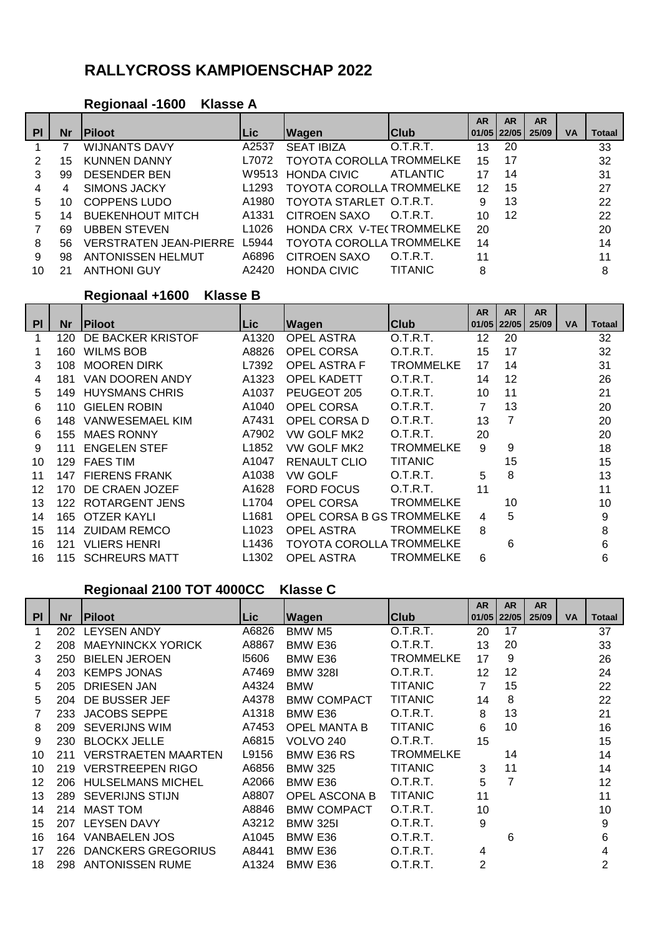# **RALLYCROSS KAMPIOENSCHAP 2022**

#### **Regionaal -1600 Klasse A**

|    |           |                                     |                   |                                 |                 | <b>AR</b>       | <b>AR</b> | <b>AR</b> |           |               |
|----|-----------|-------------------------------------|-------------------|---------------------------------|-----------------|-----------------|-----------|-----------|-----------|---------------|
| PI | <b>Nr</b> | <b>IPiloot</b>                      | Lic.              | <b>Wagen</b>                    | <b>Club</b>     | $01/05$   22/05 |           | 25/09     | <b>VA</b> | <b>Totaal</b> |
|    |           | <b>WIJNANTS DAVY</b>                | A2537             | <b>SEAT IBIZA</b>               | 0.T.R.T.        | 13              | 20        |           |           | 33            |
| 2  | 15        | <b>KUNNEN DANNY</b>                 | L7072             | <b>TOYOTA COROLLA TROMMELKE</b> |                 | 15              | 17        |           |           | 32            |
| 3  | 99        | <b>DESENDER BEN</b>                 |                   | W9513 HONDA CIVIC               | <b>ATLANTIC</b> | 17              | 14        |           |           | 31            |
| 4  | 4         | <b>SIMONS JACKY</b>                 | L <sub>1293</sub> | <b>TOYOTA COROLLA TROMMELKE</b> |                 | 12              | 15        |           |           | 27            |
| 5  | 10        | <b>COPPENS LUDO</b>                 | A1980             | TOYOTA STARLET O.T.R.T.         |                 | 9               | 13        |           |           | 22            |
| 5  | 14        | <b>BUEKENHOUT MITCH</b>             | A1331             | <b>CITROEN SAXO</b>             | O.T.R.T.        | 10              | 12        |           |           | 22            |
|    | 69        | <b>UBBEN STEVEN</b>                 | L <sub>1026</sub> | HONDA CRX V-TE(TROMMELKE        |                 | 20              |           |           |           | 20            |
| 8  | 56        | <b>VERSTRATEN JEAN-PIERRE L5944</b> |                   | <b>TOYOTA COROLLA TROMMELKE</b> |                 | 14              |           |           |           | 14            |
| 9  | 98        | <b>ANTONISSEN HELMUT</b>            | A6896             | <b>CITROEN SAXO</b>             | O.T.R.T.        | 11              |           |           |           | 11            |
| 10 |           | <b>ANTHONI GUY</b>                  | A2420             | <b>HONDA CIVIC</b>              | <b>TITANIC</b>  | 8               |           |           |           | 8             |

## **Regionaal +1600 Klasse B**

|    |      |                       |                   |                           |                  | <b>AR</b>       | <b>AR</b>      | <b>AR</b> |           |        |
|----|------|-----------------------|-------------------|---------------------------|------------------|-----------------|----------------|-----------|-----------|--------|
| PI | Nr   | <b>IPiloot</b>        | ∣Lic⊦             | Wagen                     | Club             | $01/05$   22/05 |                | 25/09     | <b>VA</b> | Totaal |
|    | 120  | DE BACKER KRISTOF     | A1320             | <b>OPEL ASTRA</b>         | O.T.R.T.         | 12              | 20             |           |           | 32     |
|    | 160. | <b>WILMS BOB</b>      | A8826             | OPEL CORSA                | O.T.R.T.         | 15              | 17             |           |           | 32     |
| 3  | 108. | <b>MOOREN DIRK</b>    | L7392             | <b>OPEL ASTRA F</b>       | <b>TROMMELKE</b> | 17              | 14             |           |           | 31     |
| 4  | 181  | VAN DOOREN ANDY       | A1323             | <b>OPEL KADETT</b>        | O.T.R.T.         | 14              | 12             |           |           | 26     |
| 5  | 149. | <b>HUYSMANS CHRIS</b> | A1037             | PEUGEOT 205               | O.T.R.T.         | 10              | 11             |           |           | 21     |
| 6  | 110. | <b>GIELEN ROBIN</b>   | A1040             | OPEL CORSA                | O.T.R.T.         |                 | 13             |           |           | 20     |
| 6  | 148. | VANWESEMAEL KIM       | A7431             | OPEL CORSA D              | O.T.R.T.         | 13              | $\overline{7}$ |           |           | 20     |
| 6  | 155  | <b>MAES RONNY</b>     | A7902             | VW GOLF MK2               | O.T.R.T.         | 20              |                |           |           | 20     |
| 9  | 111  | <b>ENGELEN STEF</b>   | L1852             | VW GOLF MK2               | <b>TROMMELKE</b> | 9               | 9              |           |           | 18     |
| 10 | 129  | <b>FAES TIM</b>       | A1047             | <b>RENAULT CLIO</b>       | <b>TITANIC</b>   |                 | 15             |           |           | 15     |
| 11 | 147  | <b>FIERENS FRANK</b>  | A1038             | VW GOLF                   | O.T.R.T.         | 5               | 8              |           |           | 13     |
| 12 | 170. | DE CRAEN JOZEF        | A1628             | <b>FORD FOCUS</b>         | O.T.R.T.         | 11              |                |           |           | 11     |
| 13 |      | 122 ROTARGENT JENS    | L <sub>1704</sub> | <b>OPEL CORSA</b>         | TROMMELKE        |                 | 10             |           |           | 10     |
| 14 | 165. | OTZER KAYLI           | L <sub>1681</sub> | OPEL CORSA B GS TROMMELKE |                  | 4               | 5              |           |           | 9      |
| 15 | 114  | <b>ZUIDAM REMCO</b>   | L <sub>1023</sub> | <b>OPEL ASTRA</b>         | TROMMELKE        | 8               |                |           |           | 8      |
| 16 | 121  | <b>VLIERS HENRI</b>   | L <sub>1436</sub> | TOYOTA COROLLA TROMMELKE  |                  |                 | 6              |           |           | 6      |
| 16 | 115  | <b>SCHREURS MATT</b>  | L <sub>1302</sub> | OPEL ASTRA                | TROMMELKE        | 6               |                |           |           | 6      |

## **Regionaal 2100 TOT 4000CC Klasse C**

|           |           |                            |       |                     |                  | <b>AR</b>      | <b>AR</b> | <b>AR</b> |    |        |
|-----------|-----------|----------------------------|-------|---------------------|------------------|----------------|-----------|-----------|----|--------|
| <b>PI</b> | <b>Nr</b> | <b>Piloot</b>              | Lic.  | Wagen               | Club             | 01/05          | 22/05     | 25/09     | VA | Totaal |
| 1         | 202       | <b>LEYSEN ANDY</b>         | A6826 | BMW M <sub>5</sub>  | O.T.R.T.         | 20             | 17        |           |    | 37     |
| 2         | 208       | <b>MAEYNINCKX YORICK</b>   | A8867 | BMW E36             | O.T.R.T.         | 13             | 20        |           |    | 33     |
| 3         | 250       | <b>BIELEN JEROEN</b>       | 15606 | BMW E36             | <b>TROMMELKE</b> | 17             | 9         |           |    | 26     |
| 4         | 203       | <b>KEMPS JONAS</b>         | A7469 | <b>BMW 328I</b>     | O.T.R.T.         | 12             | 12        |           |    | 24     |
| 5         | 205       | <b>DRIESEN JAN</b>         | A4324 | <b>BMW</b>          | <b>TITANIC</b>   |                | 15        |           |    | 22     |
| 5         | 204       | DE BUSSER JEF              | A4378 | <b>BMW COMPACT</b>  | <b>TITANIC</b>   | 14             | 8         |           |    | 22     |
|           | 233       | <b>JACOBS SEPPE</b>        | A1318 | BMW E36             | O.T.R.T.         | 8              | 13        |           |    | 21     |
| 8         | 209       | <b>SEVERIJNS WIM</b>       | A7453 | <b>OPEL MANTA B</b> | <b>TITANIC</b>   | 6              | 10        |           |    | 16     |
| 9         | 230       | <b>BLOCKX JELLE</b>        | A6815 | VOLVO 240           | O.T.R.T.         | 15             |           |           |    | 15     |
| 10        | 211       | <b>VERSTRAETEN MAARTEN</b> | L9156 | BMW E36 RS          | TROMMELKE        |                | 14        |           |    | 14     |
| 10        | 219       | <b>VERSTREEPEN RIGO</b>    | A6856 | <b>BMW 325</b>      | <b>TITANIC</b>   | 3              | 11        |           |    | 14     |
| 12        | 206       | <b>HULSELMANS MICHEL</b>   | A2066 | BMW E36             | O.T.R.T.         | 5              | 7         |           |    | 12     |
| 13        | 289       | <b>SEVERIJNS STIJN</b>     | A8807 | OPEL ASCONA B       | <b>TITANIC</b>   | 11             |           |           |    | 11     |
| 14        | 214       | <b>MAST TOM</b>            | A8846 | <b>BMW COMPACT</b>  | O.T.R.T.         | 10             |           |           |    | 10     |
| 15        | 207       | <b>LEYSEN DAVY</b>         | A3212 | <b>BMW 325I</b>     | O.T.R.T.         | 9              |           |           |    | 9      |
| 16        | 164       | <b>VANBAELEN JOS</b>       | A1045 | BMW E36             | O.T.R.T.         |                | 6         |           |    | 6      |
| 17        | 226       | <b>DANCKERS GREGORIUS</b>  | A8441 | BMW E36             | O.T.R.T.         | 4              |           |           |    | 4      |
| 18        | 298       | <b>ANTONISSEN RUME</b>     | A1324 | BMW E36             | O.T.R.T.         | $\overline{2}$ |           |           |    | 2      |